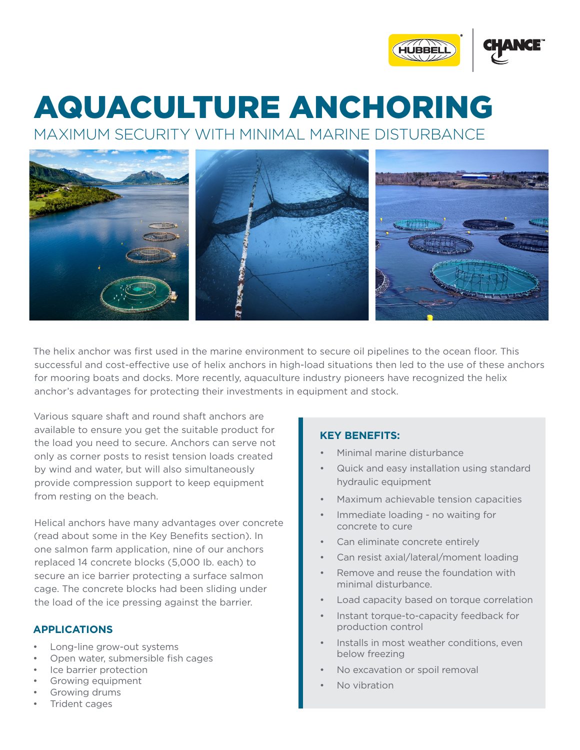

## MAXIMUM SECURITY WITH MINIMAL MARINE DISTURBANCE AQUACULTURE ANCHORING

The helix anchor was first used in the marine environment to secure oil pipelines to the ocean floor. This successful and cost-effective use of helix anchors in high-load situations then led to the use of these anchors for mooring boats and docks. More recently, aquaculture industry pioneers have recognized the helix anchor's advantages for protecting their investments in equipment and stock.

Various square shaft and round shaft anchors are available to ensure you get the suitable product for the load you need to secure. Anchors can serve not only as corner posts to resist tension loads created by wind and water, but will also simultaneously provide compression support to keep equipment from resting on the beach.

Helical anchors have many advantages over concrete (read about some in the Key Benefits section). In one salmon farm application, nine of our anchors replaced 14 concrete blocks (5,000 Ib. each) to secure an ice barrier protecting a surface salmon cage. The concrete blocks had been sliding under the load of the ice pressing against the barrier.

## **APPLICATIONS**

- Long-line grow-out systems
- Open water, submersible fish cages
- Ice barrier protection
- Growing equipment
- Growing drums
- Trident cages

## **KEY BENEFITS:**

- Minimal marine disturbance
- Quick and easy installation using standard hydraulic equipment
- Maximum achievable tension capacities
- Immediate loading no waiting for concrete to cure
- Can eliminate concrete entirely
- Can resist axial/lateral/moment loading
- Remove and reuse the foundation with minimal disturbance.
- Load capacity based on torque correlation
- Instant torque-to-capacity feedback for production control
- Installs in most weather conditions, even below freezing
- No excavation or spoil removal
- No vibration